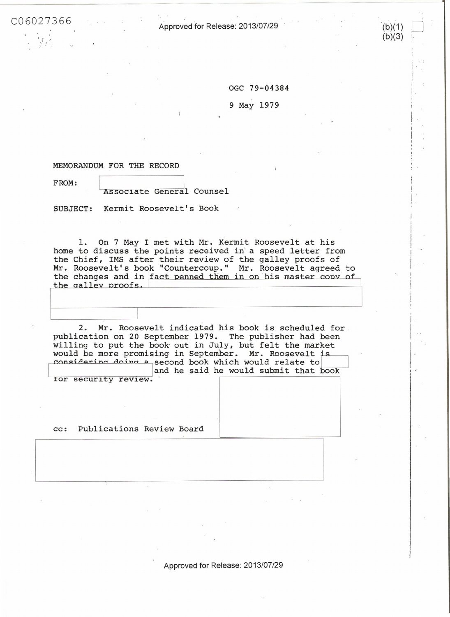C06 02 7 366 Approved for Release: 2013/07/29

OGC 79-04384

 $(b)(1)$  $(b)(3)$ 

 $\vert$  .

ļ. ; !

 $\frac{1}{1}$  .  $\frac{1}{1}$ .

i I  $\overline{\phantom{a}}$ I I ,.

I  $\frac{1}{2}$ 

 $\vert$ 

 $1 \cdot \cdot$ <sup>\*</sup>

I

9 May 1979

## MEMORANDUM FOR THE RECORD

FROM: Assoc1ate General Counsel

SUBJECT: Kermit Roosevelt's Book

1. On 7 May I met with Mr. Kermit Roosevelt at his home to discuss the points received in a speed letter from Chief, IMS after their review of the galley proofs of Roosevelt's book "Countercoup." Mr. Roosevelt agreed to the changes and in fact penned them in on his master copy of the galley proofs.

2. Mr. Roosevelt indicated his book is scheduled for . publication on 20 September 1979 . The publisher had been willing to put the book out in July, but felt the market would be more promising in September. Mr. Roosevelt is<br>considering doing a second book which would relate to and he said he would submit that book

tor security review.

cc: Publications Review Board

Approved for Release: 2013/07/29

I